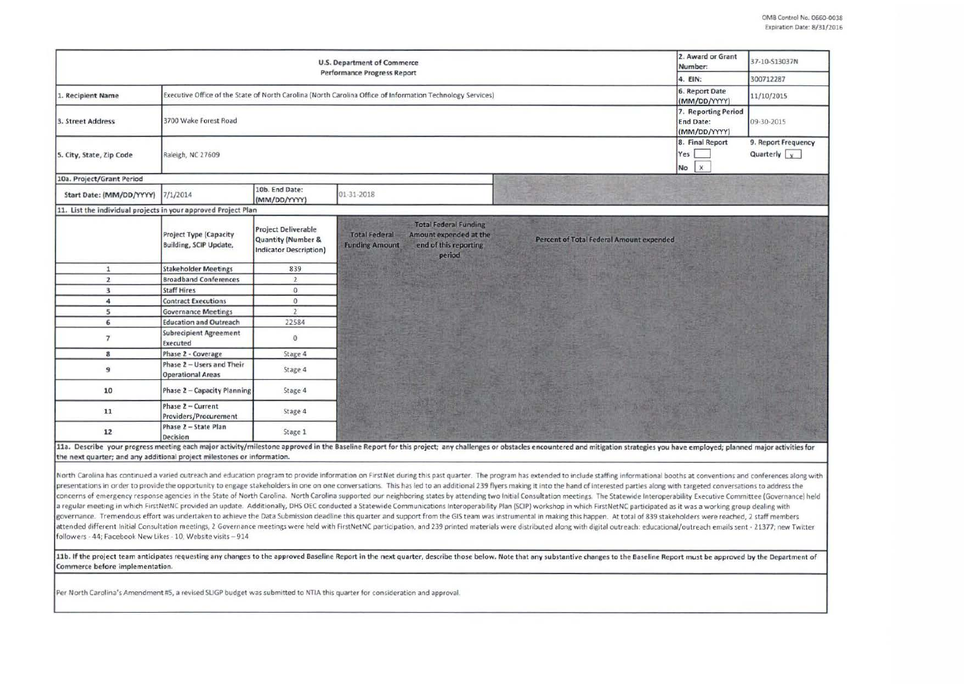|                                                                | 2. Award or Grant<br>Number:                                                                               | 37-10-S13037N                                                              |                                                                                                                                                                                        |                                |                                             |
|----------------------------------------------------------------|------------------------------------------------------------------------------------------------------------|----------------------------------------------------------------------------|----------------------------------------------------------------------------------------------------------------------------------------------------------------------------------------|--------------------------------|---------------------------------------------|
|                                                                |                                                                                                            |                                                                            | <b>Performance Progress Report</b>                                                                                                                                                     | 4. EIN:                        | 300712287                                   |
| 1. Recipient Name                                              | Executive Office of the State of North Carolina (North Carolina Office of Information Technology Services) | 6. Report Date<br>(MM/DD/YYYY)                                             | 11/10/2015                                                                                                                                                                             |                                |                                             |
| 3. Street Address                                              | 3700 Wake Forest Road                                                                                      | 7. Reporting Period<br><b>End Date:</b><br>(MM/DD/YYYY)                    | 09-30-2015                                                                                                                                                                             |                                |                                             |
| 5. City, State, Zip Code                                       | Raleigh, NC 27609                                                                                          |                                                                            |                                                                                                                                                                                        | 8. Final Report<br>Yes<br>No X | 9. Report Frequency<br>Quarterly $\sqrt{x}$ |
| 10a. Project/Grant Period                                      |                                                                                                            |                                                                            |                                                                                                                                                                                        |                                |                                             |
| Start Date: (MM/DD/YYYY)                                       | 7/1/2014                                                                                                   | 10b. End Date:<br>(MM/DD/YYYY)                                             | 01-31-2018                                                                                                                                                                             |                                |                                             |
| 11. List the individual projects in your approved Project Plan |                                                                                                            |                                                                            |                                                                                                                                                                                        |                                |                                             |
|                                                                | Project Type (Capacity<br><b>Building, SCIP Update,</b>                                                    | <b>Project Deliverable</b><br>Quantity (Number &<br>Indicator Description) | <b>Total Federal Funding</b><br><b>Total Federal</b><br>Amount expended at the<br>Percent of Total Federal Amount expended<br>end of this reporting<br><b>Funding Amount</b><br>period |                                |                                             |
| $\mathbf{1}$                                                   | <b>Stakeholder Meetings</b>                                                                                | 839                                                                        |                                                                                                                                                                                        |                                |                                             |
| $\overline{2}$                                                 | <b>Broadband Conferences</b>                                                                               | $\overline{2}$                                                             |                                                                                                                                                                                        |                                |                                             |
| $\overline{\mathbf{3}}$                                        | <b>Staff Hires</b>                                                                                         | $\overline{0}$                                                             |                                                                                                                                                                                        |                                |                                             |
| 4                                                              | <b>Contract Executions</b>                                                                                 | $\overline{0}$                                                             |                                                                                                                                                                                        |                                |                                             |
| 5                                                              | <b>Governance Meetings</b>                                                                                 | $\overline{2}$                                                             |                                                                                                                                                                                        |                                |                                             |
| 6                                                              | <b>Education and Outreach</b>                                                                              | 22584                                                                      |                                                                                                                                                                                        |                                |                                             |
| $\overline{7}$                                                 | <b>Subrecipient Agreement</b><br>Executed                                                                  | $\circ$                                                                    |                                                                                                                                                                                        |                                |                                             |
| 8                                                              | Phase 2 - Coverage                                                                                         | Stage 4                                                                    |                                                                                                                                                                                        |                                |                                             |
| 9                                                              | Phase 2 - Users and Their<br><b>Operational Areas</b>                                                      | Stage 4                                                                    |                                                                                                                                                                                        |                                |                                             |
| 10                                                             | Phase 2 - Capacity Planning                                                                                | Stage 4                                                                    |                                                                                                                                                                                        |                                |                                             |
| 11                                                             | Phase 2 - Current<br>Providers/Procurement                                                                 | Stage 4                                                                    |                                                                                                                                                                                        |                                |                                             |
| 12                                                             | Phase 2 - State Plan<br>Decision                                                                           | Stage 1                                                                    |                                                                                                                                                                                        |                                |                                             |

North Carolina has continued a varied outreach and education program to provide information on FirstNet during this past quarter. The program has extended to include staffing informational booths at conventions and confere presentations in order to provide the opportunity to engage stakeholders in one on one conversations. This has led to an additional 239 flyers making it into the hand of interested parties along with targeted conversations concerns of emergency response agencies in the State of North Carolina. North Carolina supported our neighboring states by attending two Initial Consultation meetings. The Statewide Interoperability Executive Committee (Go a regular meeting in which FirstNetNC provided an update. Additionally, DHS OEC conducted a Statewide Communications Interoperability Plan (SCIP) workshop in which FirstNetNC participated as it was a working group dealing governance. Tremendous effort was undertaken to achieve the Data Submission deadline this quarter and support from the GIS team was instrumental in making this happen. At total of 839 stakeholders were reached, 2 staff mem attended different Initial Consultation meetings, 2 Governance meetings were held with FirstNetNC participation, and 239 printed materials were distributed along with digital outreach: educational/outreach emails sent - 21 followers - 44; Facebook New Likes - 10; Website visits - 914

11b. If the project team anticipates requesting any changes to the approved Baseline Report in the next quarter, describe those below. Note that any substantive changes to the Baseline Report must be approved by the Depart Commerce before implementation.

Per North Carolina's Amendment #5, a revised SLIGP budget was submitted to NTIA this quarter for consideration and approval.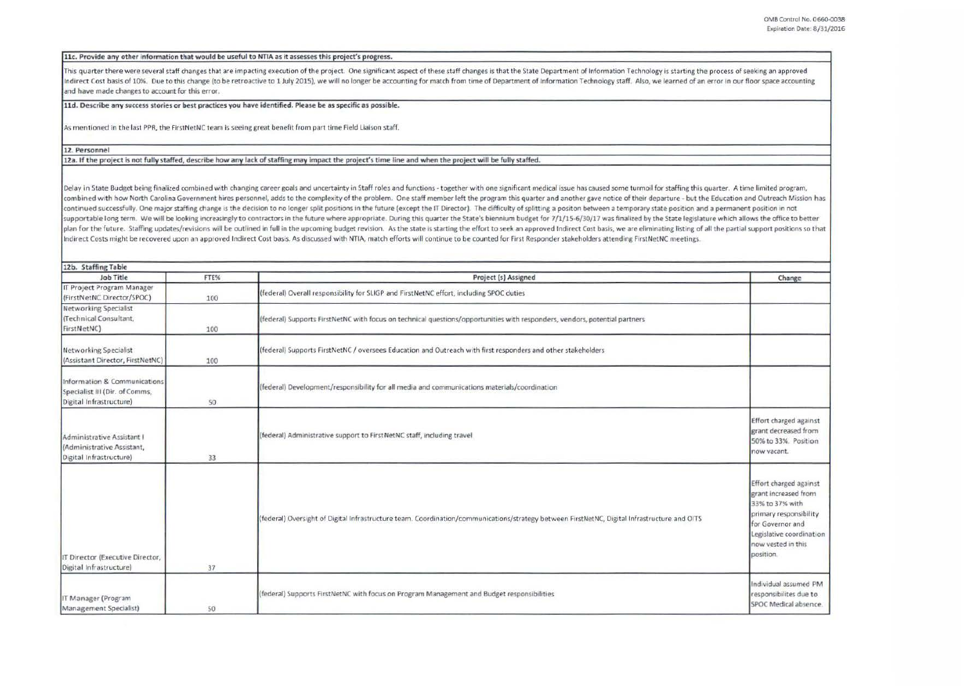11c. Provide any other information that would be useful to NTIA as it assesses this project's progress.

This quarter there were several staff changes that are impacting execution of the project. One significant aspect of these staff changes is that the State Department of Information Technology is starting the process of see Indirect Cost basis of 10%. Due to this change (to be retroactive to 1 July 2015), we will no longer be accounting for match from time of Department of Information Technology staff. Also, we learned of an error in our floo and have made changes to account for this error.

lld. Describe any success stories or best practices you have identified. **Pleue** be as specific as possible.

As mentioned in the last PPR, the FirstNetNC team is seeing great benefit from part time Field Liaison staff.

12. Personnel

12a. If the project is not fully staffed, describe how any lack of staffing may impact the project's time line and when the project will be fully staffed.

Delay in State Budget being finalized combined with changing career goals and uncertainty in Staff roles and functions - together with one significant medical issue has caused some turmoil for staffing this quarter. A time combined with how North Carolina Government hires personnel, adds to the complexity of the problem. One staff member left the program this quarter and another gave notice of their departure - but the Education and Outreach continued successfully. One major staffing change is the decision to no longer split positions in the future (except the IT Director). The difficulty of splitting a positon between a temporary state position and a permanen supportable long term. We will be looking increasingly to contractors in the future where appropriate. During this quarter the State's biennium budget for 7/1/15-6/30/17 was finalized by the State legislature which allows plan for the future. Staffing updates/revisions will be outlined in full in the upcoming budget revision. As the state is starting the effort to seek an approved Indirect Cost basis, we are eliminating listing of all the p Indirect Costs might be recovered upon an approved Indirect Cost basis. As discussed with NTIA, match efforts will continue to be counted for First Responder stakeholders attending FirstNetNC meetings.

| 12b. Staffing Table                                                                       |      |                                                                                                                                              |                                                                                                                                                                                |
|-------------------------------------------------------------------------------------------|------|----------------------------------------------------------------------------------------------------------------------------------------------|--------------------------------------------------------------------------------------------------------------------------------------------------------------------------------|
| Job Title                                                                                 | FTE% | Project (s) Assigned                                                                                                                         | Change                                                                                                                                                                         |
| IT Project Program Manager<br>(FirstNetNC Director/SPOC)                                  | 100  | (federal) Overall responsibility for SLIGP and FirstNetNC effort, including SPOC duties                                                      |                                                                                                                                                                                |
| <b>Networking Specialist</b><br>(Technical Consultant,<br>FirstNetNC)                     | 100  | (federal) Supports FirstNetNC with focus on technical questions/opportunities with responders, vendors, potential partners                   |                                                                                                                                                                                |
| Networking Specialist<br>(Assistant Director, FirstNetNC)                                 | 100  | (federal) Supports FirstNetNC / oversees Education and Outreach with first responders and other stakeholders                                 |                                                                                                                                                                                |
| Information & Communications<br>Specialist III (Dir. of Comms,<br>Digital Infrastructure) | 50   | (federal) Development/responsibility for all media and communications materials/coordination                                                 |                                                                                                                                                                                |
| Administrative Assistant I<br>(Administrative Assistant,<br>Digital Infrastructure)       | 33   | (federal) Administrative support to FirstNetNC staff, including travel                                                                       | Effort charged against<br>grant decreased from<br>50% to 33%. Position<br>now vacant.                                                                                          |
| IT Director (Executive Director,<br>Digital Infrastructure)                               | 37   | (federal) Oversight of Digital Infrastructure team. Coordination/communications/strategy between FirstNetNC, Digital Infrastructure and OITS | Effort charged against<br>grant increased from<br>33% to 37% with<br>primary responsibility<br>for Governor and<br>Legislative coordination<br>now vested in this<br>position. |
| IT Manager (Program<br>Management Specialist)                                             | 50   | (federal) Supports FirstNetNC with focus on Program Management and Budget responsibilities                                                   | Individual assumed PM<br>responsibilites due to<br>SPOC Medical absence.                                                                                                       |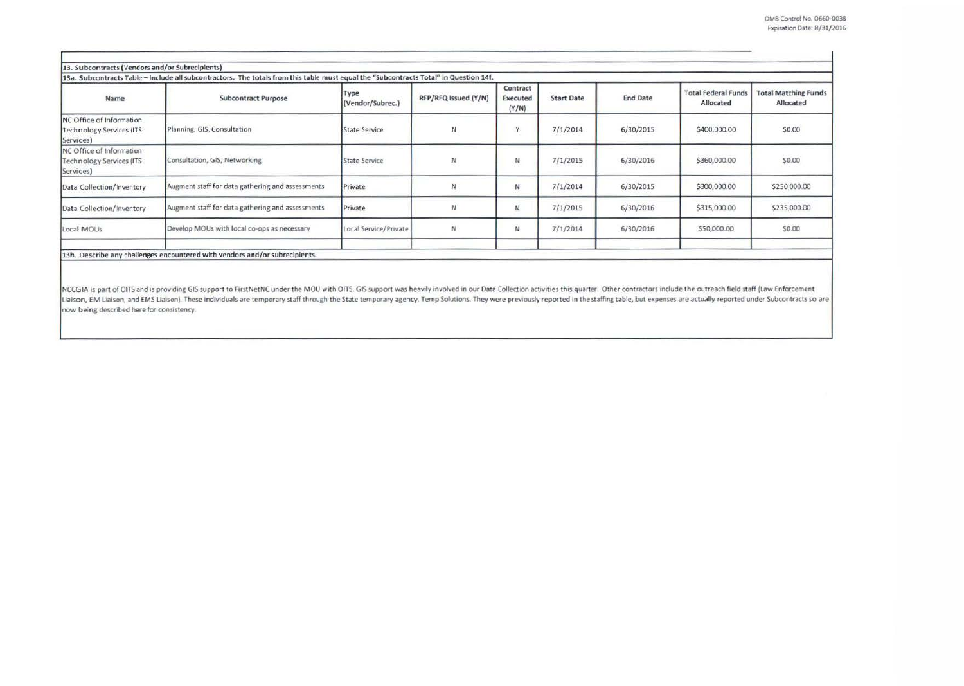| 13. Subcontracts (Vendors and/or Subrecipients)                          | 13a. Subcontracts Table - include all subcontractors. The totals from this table must equal the "Subcontracts Total" in Question 14f. |                          |                      |                                      |                   |                 |                                         |                                          |
|--------------------------------------------------------------------------|---------------------------------------------------------------------------------------------------------------------------------------|--------------------------|----------------------|--------------------------------------|-------------------|-----------------|-----------------------------------------|------------------------------------------|
| Name                                                                     | <b>Subcontract Purpose</b>                                                                                                            | Type<br>(Vendor/Subrec.) | RFP/RFQ Issued (Y/N) | Contract<br><b>Executed</b><br>(Y/N) | <b>Start Date</b> | <b>End Date</b> | <b>Total Federal Funds</b><br>Allocated | <b>Total Matching Funds</b><br>Allocated |
| NC Office of Information<br><b>Technology Services (ITS</b><br>Services) | Planning, GIS, Consultation                                                                                                           | <b>State Service</b>     | N                    | Y                                    | 7/1/2014          | 6/30/2015       | \$400,000.00                            | \$0.00                                   |
| NC Office of Information<br><b>Technology Services (ITS</b><br>Services) | Consultation, GIS, Networking                                                                                                         | State Service            | N                    | N                                    | 7/1/2015          | 6/30/2016       | \$360,000.00                            | \$0.00                                   |
| Data Collection/Inventory                                                | Augment staff for data gathering and assessments                                                                                      | Private                  |                      | Ν                                    | 7/1/2014          | 6/30/2015       | \$300,000.00                            | \$250,000.00                             |
| Data Collection/Inventory                                                | Augment staff for data gathering and assessments                                                                                      | Private                  | N                    | N                                    | 7/1/2015          | 6/30/2016       | \$315,000.00                            | \$235,000.00                             |
| Local MOUs                                                               | Develop MOUs with local co-ops as necessary                                                                                           | Local Service/Private    | N                    | N                                    | 7/1/2014          | 6/30/2016       | \$50,000.00                             | \$0.00                                   |
|                                                                          | 13b. Describe any challenges encountered with vendors and/or subrecipients.                                                           |                          |                      |                                      |                   |                 |                                         |                                          |

NCCGIA is part of OITS and is providing GIS support to FirstNetNC under the MOU with OITS. GIS support was heavily involved in our Data Collection activities this quarter. Other contractors include the outreach field staff Liaison, EM Liaison, and EMS Liaison). These individuals are temporary staff through the State temporary agency, Temp Solutions. They were previously reported in the staffing table, but expenses are actually reported under now being described here for consistency.

------------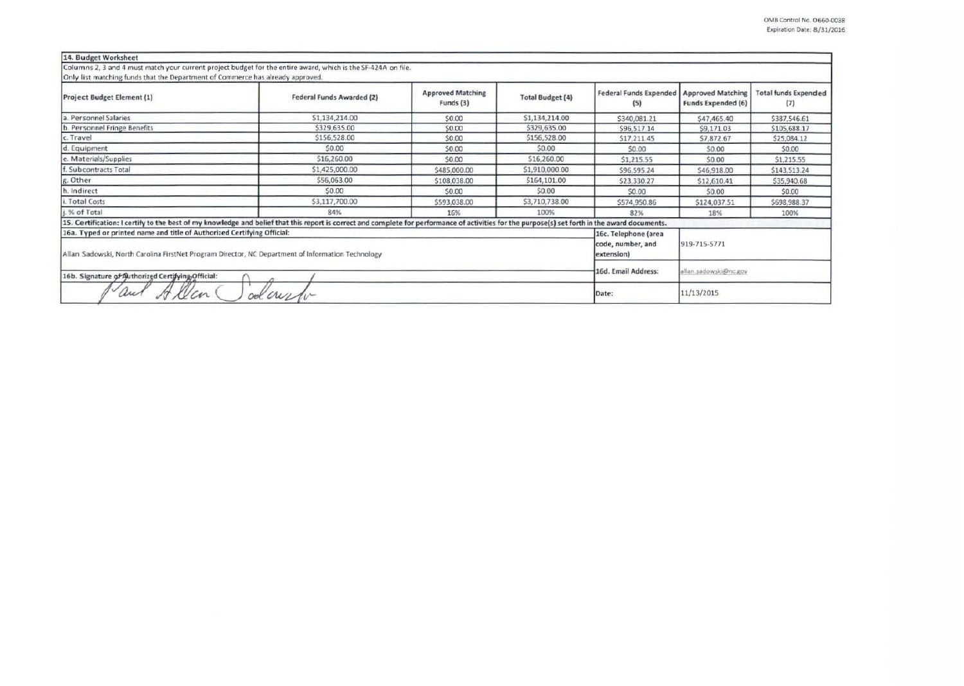| 14. Budget Worksheet                                                                                                                                                                            |                           |                                       |                         |                                      |                                                       |                                    |
|-------------------------------------------------------------------------------------------------------------------------------------------------------------------------------------------------|---------------------------|---------------------------------------|-------------------------|--------------------------------------|-------------------------------------------------------|------------------------------------|
| Columns 2, 3 and 4 must match your current project budget for the entire award, which is the SF-424A on file.<br>Only list matching funds that the Department of Commerce has already approved. |                           |                                       |                         |                                      |                                                       |                                    |
| Project Budget Element (1)                                                                                                                                                                      | Federal Funds Awarded (2) | <b>Approved Matching</b><br>Funds (3) | <b>Total Budget (4)</b> | <b>Federal Funds Expended</b><br>(5) | <b>Approved Matching</b><br><b>Funds Expended (6)</b> | <b>Total funds Expended</b><br>(7) |
| a. Personnel Salaries                                                                                                                                                                           | \$1,134,214.00            | \$0.00                                | \$1,134,214.00          | \$340,081.21                         | \$47,465.40                                           | \$387,546.61                       |
| b. Personnel Fringe Benefits                                                                                                                                                                    | \$329,635.00              | \$0.00                                | \$329,635.00            | \$96,517.14                          | \$9,171.03                                            | \$105,688.17                       |
| c. Travel                                                                                                                                                                                       | \$156,528.00              | \$0.00                                | \$156,528.00            | \$17,211.45                          | S7.872.67                                             | \$25,084.12                        |
| d. Equipment                                                                                                                                                                                    | \$0.00                    | \$0.00                                | \$0.00                  | \$0.00                               | \$0.00                                                | \$0.00                             |
| e. Materials/Supplies                                                                                                                                                                           | \$16,260.00               | \$0.00                                | \$16,260.00             | \$1,215.55                           | \$0.00                                                | \$1,215.55                         |
| f. Subcontracts Total                                                                                                                                                                           | \$1,425,000.00            | \$485,000.00                          | \$1,910,000.00          | \$96,595.24                          | \$46,918.00                                           | \$143,513.24                       |
| g. Other                                                                                                                                                                                        | \$56,063.00               | \$108,038.00                          | \$164,101.00            | \$23,330.27                          | \$12,610.41                                           | \$35,940.68                        |
| h. Indirect                                                                                                                                                                                     | \$0.00                    | \$0.00                                | \$0.00                  | \$0.00                               | \$0.00                                                | \$0.00                             |
| i. Total Costs                                                                                                                                                                                  | \$3,117,700.00            | \$593,038.00                          | \$3,710,738.00          | \$574,950.86                         | \$124,037.51                                          | \$698,988.37                       |
| i. % of Total                                                                                                                                                                                   | 84%                       | 16%                                   | 100%                    | 82%                                  | 18%                                                   | 100%                               |
| 15. Certification: I certify to the best of my knowledge and belief that this report is correct and complete for performance of activities for the purpose(s) set forth in the award documents. |                           |                                       |                         |                                      |                                                       |                                    |
| 16a. Typed or printed name and title of Authorized Certifying Official:                                                                                                                         |                           |                                       |                         | 16c. Telephone (area                 |                                                       |                                    |
| Allan Sadowski, North Carolina FirstNet Program Director, NC Department of Information Technology                                                                                               |                           | code, number, and<br>extension)       | 919-715-5771            |                                      |                                                       |                                    |
| 16b. Signature of Authorized Certifying Official:                                                                                                                                               | 16d. Email Address:       | allan.sadowski@nc.gov                 |                         |                                      |                                                       |                                    |
| au                                                                                                                                                                                              | od win                    |                                       |                         | Date:                                | 11/13/2015                                            |                                    |